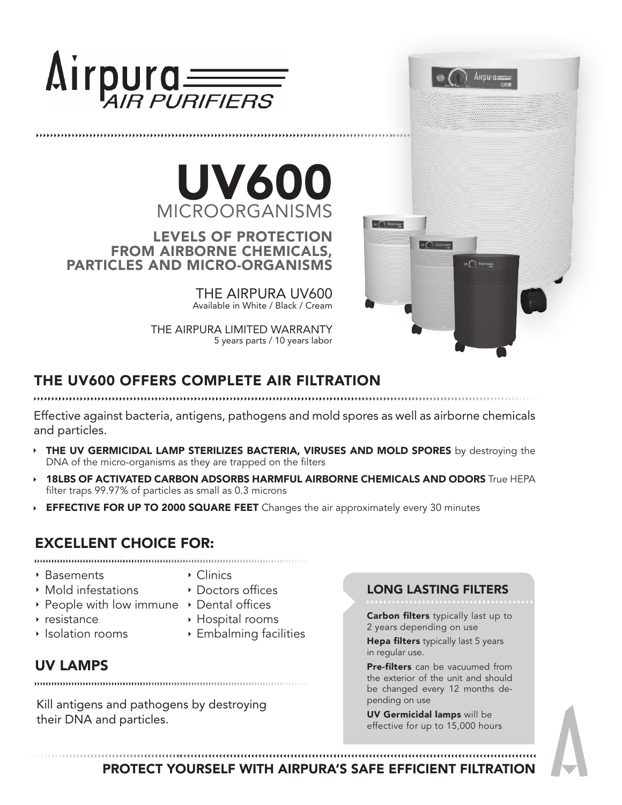



LEVELS OF PROTECTION FROM AIRBORNE CHEMICALS, PARTICLES AND MICRO-ORGANISMS

> THE AIRPURA UV600 Available in White / Black / Cream

THE AIRPURA LIMITED WARRANTY 5 years parts / 10 years labor



# THE UV600 OFFERS COMPLETE AIR FILTRATION

Effective against bacteria, antigens, pathogens and mold spores as well as airborne chemicals and particles.

- THE UV GERMICIDAL LAMP STERILIZES BACTERIA, VIRUSES AND MOLD SPORES by destroying the DNA of the micro-organisms as they are trapped on the filters
- 18LBS OF ACTIVATED CARBON ADSORBS HARMFUL AIRBORNE CHEMICALS AND ODORS True HEPA filter traps 99.97% of particles as small as 0.3 microns
- EFFECTIVE FOR UP TO 2000 SQUARE FEET Changes the air approximately every 30 minutes

## EXCELLENT CHOICE FOR:

- Basements
- Clinics
- **Mold infestations**
- ▶ Doctors offices
- 

- People with low immune Dental offices
- $reistance$
- Hospital rooms
- **Isolation rooms**
- Embalming facilities
- 

# UV LAMPS

Kill antigens and pathogens by destroying their DNA and particles.

## LONG LASTING FILTERS

Carbon filters typically last up to 2 years depending on use

Hepa filters typically last 5 years in regular use.

Pre-filters can be vacuumed from the exterior of the unit and should be changed every 12 months depending on use

UV Germicidal lamps will be effective for up to 15,000 hours

PROTECT YOURSELF WITH AIRPURA'S SAFE EFFICIENT FILTRATION